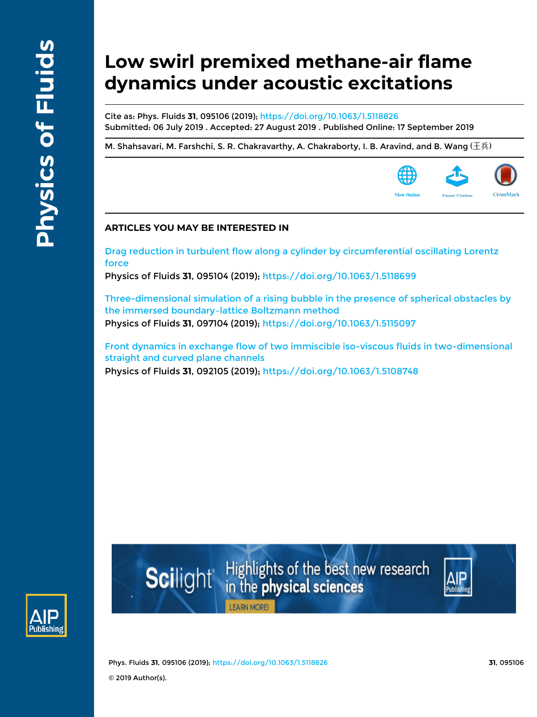# **Low swirl premixed methane-air flame dynamics under acoustic excitations**

Cite as: Phys. Fluids **31**, 095106 (2019); https://doi.org/10.1063/1.5118826 Submitted: 06 July 2019 . Accepted: 27 August 2019 . Published Online: 17 September 2019

M. Shahsavari, M. Farshchi, S. R. Chakravarthy, A. Chakraborty, I. B. Aravind, and B. Wang  $(\pm \text{f})$ 



Drag reduction in turbulent flow along a cylinder by circumferential oscillating Lorentz force

Physics of Fluids **31**, 095104 (2019); https://doi.org/10.1063/1.5118699

Three-dimensional simulation of a rising bubble in the presence of spherical obstacles by the immersed boundary–lattice Boltzmann method Physics of Fluids **31**, 097104 (2019); https://doi.org/10.1063/1.5115097

Front dynamics in exchange flow of two immiscible iso-viscous fluids in two-dimensional straight and curved plane channels Physics of Fluids **31**, 092105 (2019); https://doi.org/10.1063/1.5108748



**Scilight** Highlights of the best new research



Phys. Fluids **31**, 095106 (2019); https://doi.org/10.1063/1.5118826 **31**, 095106 © 2019 Author(s).

LEARN MORE!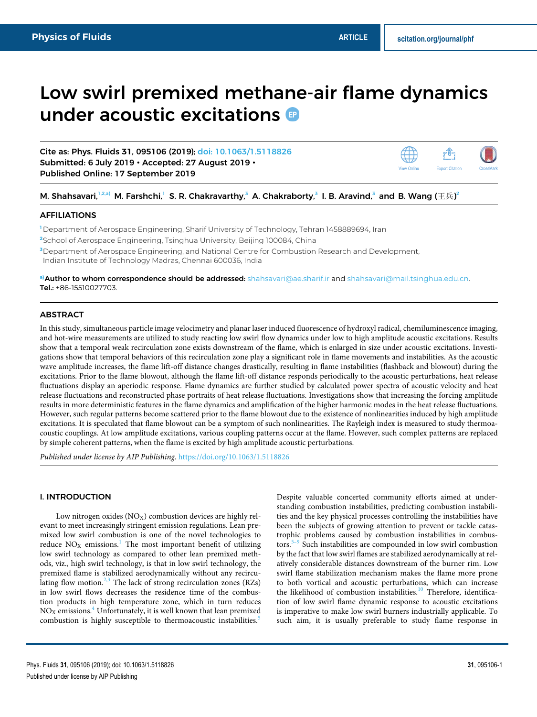# Low swirl premixed methane-air flame dynamics under acoustic excitations  $\blacksquare$

Cite as: Phys. Fluids **31**, 095106 (2019); doi: 10.1063/1.5118826 Submitted: 6 July 2019 • Accepted: 27 August 2019 • Published Online: 17 September 2019



# M. Shahsavari, $^{1,2, a)}$  M. Farshchi, $^1$  S. R. Chakravarthy, $^3$  A. Chakraborty, $^3$  I. B. Aravind, $^3$  and B. Wang (王兵) $^2$

# AFFILIATIONS

**<sup>1</sup>** Department of Aerospace Engineering, Sharif University of Technology, Tehran 1458889694, Iran

**<sup>2</sup>**School of Aerospace Engineering, Tsinghua University, Beijing 100084, China

**<sup>3</sup>**Department of Aerospace Engineering, and National Centre for Combustion Research and Development,

Indian Institute of Technology Madras, Chennai 600036, India

**a)**Author to whom correspondence should be addressed: shahsavari@ae.sharif.ir and shahsavari@mail.tsinghua.edu.cn. Tel.: +86-15510027703.

#### ABSTRACT

In this study, simultaneous particle image velocimetry and planar laser induced fluorescence of hydroxyl radical, chemiluminescence imaging, and hot-wire measurements are utilized to study reacting low swirl flow dynamics under low to high amplitude acoustic excitations. Results show that a temporal weak recirculation zone exists downstream of the flame, which is enlarged in size under acoustic excitations. Investigations show that temporal behaviors of this recirculation zone play a significant role in flame movements and instabilities. As the acoustic wave amplitude increases, the flame lift-off distance changes drastically, resulting in flame instabilities (flashback and blowout) during the excitations. Prior to the flame blowout, although the flame lift-off distance responds periodically to the acoustic perturbations, heat release fluctuations display an aperiodic response. Flame dynamics are further studied by calculated power spectra of acoustic velocity and heat release fluctuations and reconstructed phase portraits of heat release fluctuations. Investigations show that increasing the forcing amplitude results in more deterministic features in the flame dynamics and amplification of the higher harmonic modes in the heat release fluctuations. However, such regular patterns become scattered prior to the flame blowout due to the existence of nonlinearities induced by high amplitude excitations. It is speculated that flame blowout can be a symptom of such nonlinearities. The Rayleigh index is measured to study thermoacoustic couplings. At low amplitude excitations, various coupling patterns occur at the flame. However, such complex patterns are replaced by simple coherent patterns, when the flame is excited by high amplitude acoustic perturbations.

*Published under license by AIP Publishing.* https://doi.org/10.1063/1.5118826.,

## I. INTRODUCTION

Low nitrogen oxides  $(NO<sub>X</sub>)$  combustion devices are highly relevant to meet increasingly stringent emission regulations. Lean premixed low swirl combustion is one of the novel technologies to reduce  $NO<sub>X</sub>$  emissions.<sup>1</sup> The most important benefit of utilizing low swirl technology as compared to other lean premixed methods, viz., high swirl technology, is that in low swirl technology, the premixed flame is stabilized aerodynamically without any recirculating flow motion.<sup>2,3</sup> The lack of strong recirculation zones (RZs) in low swirl flows decreases the residence time of the combustion products in high temperature zone, which in turn reduces  $NO<sub>X</sub>$  emissions.<sup>4</sup> Unfortunately, it is well known that lean premixed combustion is highly susceptible to thermoacoustic instabilities.<sup>5</sup>

Despite valuable concerted community efforts aimed at understanding combustion instabilities, predicting combustion instabilities and the key physical processes controlling the instabilities have been the subjects of growing attention to prevent or tackle catastrophic problems caused by combustion instabilities in combustors.<sup>5–9</sup> Such instabilities are compounded in low swirl combustion by the fact that low swirl flames are stabilized aerodynamically at relatively considerable distances downstream of the burner rim. Low swirl flame stabilization mechanism makes the flame more prone to both vortical and acoustic perturbations, which can increase the likelihood of combustion instabilities.<sup>10</sup> Therefore, identification of low swirl flame dynamic response to acoustic excitations is imperative to make low swirl burners industrially applicable. To such aim, it is usually preferable to study flame response in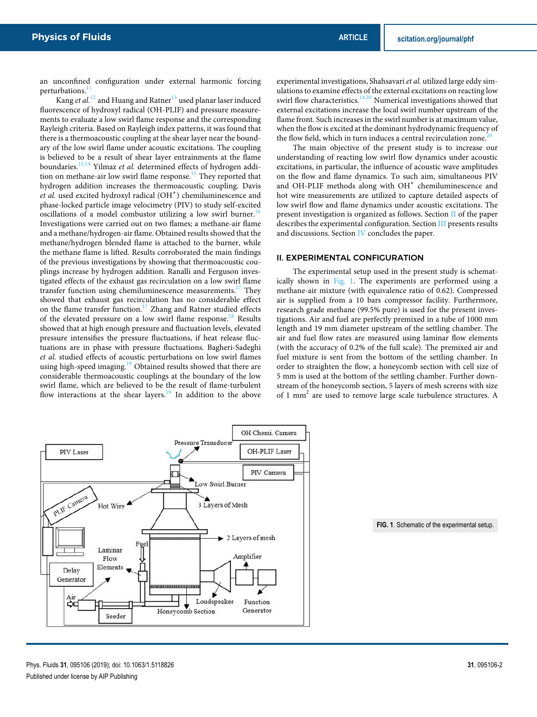an unconfined configuration under external harmonic forcing perturbations.<sup>1</sup>

Kang *et al.*<sup>12</sup> and Huang and Ratner<sup>13</sup> used planar laser induced fluorescence of hydroxyl radical (OH-PLIF) and pressure measurements to evaluate a low swirl flame response and the corresponding Rayleigh criteria. Based on Rayleigh index patterns, it was found that there is a thermoacoustic coupling at the shear layer near the boundary of the low swirl flame under acoustic excitations. The coupling is believed to be a result of shear layer entrainments at the flame boundaries.12,14 Yilmaz *et al.* determined effects of hydrogen addition on methane-air low swirl flame response.<sup>15</sup> They reported that hydrogen addition increases the thermoacoustic coupling. Davis et al. used excited hydroxyl radical (OH<sup>\*</sup>) chemiluminescence and phase-locked particle image velocimetry (PIV) to study self-excited oscillations of a model combustor utilizing a low swirl burner.<sup>16</sup> Investigations were carried out on two flames; a methane-air flame and a methane/hydrogen-air flame. Obtained results showed that the methane/hydrogen blended flame is attached to the burner, while the methane flame is lifted. Results corroborated the main findings of the previous investigations by showing that thermoacoustic couplings increase by hydrogen addition. Ranalli and Ferguson investigated effects of the exhaust gas recirculation on a low swirl flame transfer function using chemiluminescence measurements.<sup>17</sup> They showed that exhaust gas recirculation has no considerable effect on the flame transfer function.<sup>17</sup> Zhang and Ratner studied effects of the elevated pressure on a low swirl flame response.<sup>18</sup> Results showed that at high enough pressure and fluctuation levels, elevated pressure intensifies the pressure fluctuations, if heat release fluctuations are in phase with pressure fluctuations. Bagheri-Sadeghi *et al.* studied effects of acoustic perturbations on low swirl flames using high-speed imaging.<sup>19</sup> Obtained results showed that there are considerable thermoacoustic couplings at the boundary of the low swirl flame, which are believed to be the result of flame-turbulent flow interactions at the shear layers.<sup>19</sup> In addition to the above

experimental investigations, Shahsavari *et al.* utilized large eddy simulations to examine effects of the external excitations on reacting low swirl flow characteristics.<sup>14,20</sup> Numerical investigations showed that external excitations increase the local swirl number upstream of the flame front. Such increases in the swirl number is at maximum value, when the flow is excited at the dominant hydrodynamic frequency of the flow field, which in turn induces a central recirculation zone.<sup>2</sup>

The main objective of the present study is to increase our understanding of reacting low swirl flow dynamics under acoustic excitations, in particular, the influence of acoustic wave amplitudes on the flow and flame dynamics. To such aim, simultaneous PIV and OH-PLIF methods along with OH<sup>∗</sup> chemiluminescence and hot wire measurements are utilized to capture detailed aspects of low swirl flow and flame dynamics under acoustic excitations. The present investigation is organized as follows. Section II of the paper describes the experimental configuration. Section III presents results and discussions. Section IV concludes the paper.

#### II. EXPERIMENTAL CONFIGURATION

The experimental setup used in the present study is schematically shown in Fig. 1. The experiments are performed using a methane-air mixture (with equivalence ratio of 0.62). Compressed air is supplied from a 10 bars compressor facility. Furthermore, research grade methane (99.5% pure) is used for the present investigations. Air and fuel are perfectly premixed in a tube of 1000 mm length and 19 mm diameter upstream of the settling chamber. The air and fuel flow rates are measured using laminar flow elements (with the accuracy of 0.2% of the full scale). The premixed air and fuel mixture is sent from the bottom of the settling chamber. In order to straighten the flow, a honeycomb section with cell size of 5 mm is used at the bottom of the settling chamber. Further downstream of the honeycomb section, 5 layers of mesh screens with size of 1 mm<sup>2</sup> are used to remove large scale turbulence structures. A



**FIG. 1**. Schematic of the experimental setup.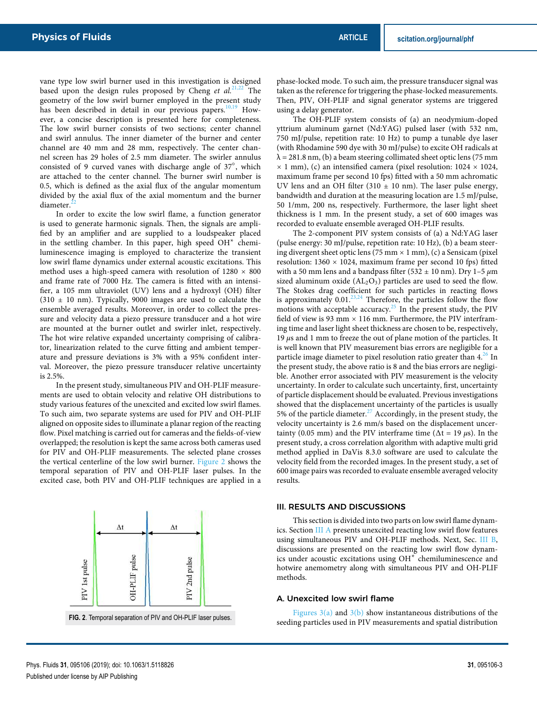vane type low swirl burner used in this investigation is designed based upon the design rules proposed by Cheng *et al.*<sup>21,22</sup> The geometry of the low swirl burner employed in the present study has been described in detail in our previous papers.<sup>10,19</sup> However, a concise description is presented here for completeness. The low swirl burner consists of two sections; center channel and swirl annulus. The inner diameter of the burner and center channel are 40 mm and 28 mm, respectively. The center channel screen has 29 holes of 2.5 mm diameter. The swirler annulus consisted of 9 curved vanes with discharge angle of 37○ , which are attached to the center channel. The burner swirl number is 0.5, which is defined as the axial flux of the angular momentum divided by the axial flux of the axial momentum and the burner diameter.

In order to excite the low swirl flame, a function generator is used to generate harmonic signals. Then, the signals are amplified by an amplifier and are supplied to a loudspeaker placed in the settling chamber. In this paper, high speed OH<sup>\*</sup> chemiluminescence imaging is employed to characterize the transient low swirl flame dynamics under external acoustic excitations. This method uses a high-speed camera with resolution of  $1280 \times 800$ and frame rate of 7000 Hz. The camera is fitted with an intensifier, a 105 mm ultraviolet (UV) lens and a hydroxyl (OH) filter  $(310 \pm 10 \text{ nm})$ . Typically, 9000 images are used to calculate the ensemble averaged results. Moreover, in order to collect the pressure and velocity data a piezo pressure transducer and a hot wire are mounted at the burner outlet and swirler inlet, respectively. The hot wire relative expanded uncertainty comprising of calibrator, linearization related to the curve fitting and ambient temperature and pressure deviations is 3% with a 95% confident interval. Moreover, the piezo pressure transducer relative uncertainty is 2.5%.

In the present study, simultaneous PIV and OH-PLIF measurements are used to obtain velocity and relative OH distributions to study various features of the unexcited and excited low swirl flames. To such aim, two separate systems are used for PIV and OH-PLIF aligned on opposite sides to illuminate a planar region of the reacting flow. Pixel matching is carried out for cameras and the fields-of-view overlapped; the resolution is kept the same across both cameras used for PIV and OH-PLIF measurements. The selected plane crosses the vertical centerline of the low swirl burner. Figure 2 shows the temporal separation of PIV and OH-PLIF laser pulses. In the excited case, both PIV and OH-PLIF techniques are applied in a



phase-locked mode. To such aim, the pressure transducer signal was taken as the reference for triggering the phase-locked measurements. Then, PIV, OH-PLIF and signal generator systems are triggered using a delay generator.

The OH-PLIF system consists of (a) an neodymium-doped yttrium aluminum garnet (Nd:YAG) pulsed laser (with 532 nm, 750 mJ/pulse, repetition rate: 10 Hz) to pump a tunable dye laser (with Rhodamine 590 dye with 30 mJ/pulse) to excite OH radicals at  $\lambda$  = 281.8 nm, (b) a beam steering collimated sheet optic lens (75 mm  $\times$  1 mm), (c) an intensified camera (pixel resolution: 1024  $\times$  1024, maximum frame per second 10 fps) fitted with a 50 mm achromatic UV lens and an OH filter (310  $\pm$  10 nm). The laser pulse energy, bandwidth and duration at the measuring location are 1.5 mJ/pulse, 50 1/mm, 200 ns, respectively. Furthermore, the laser light sheet thickness is 1 mm. In the present study, a set of 600 images was recorded to evaluate ensemble averaged OH-PLIF results.

The 2-component PIV system consists of (a) a Nd:YAG laser (pulse energy: 30 mJ/pulse, repetition rate: 10 Hz), (b) a beam steering divergent sheet optic lens (75 mm  $\times$  1 mm), (c) a Sensicam (pixel resolution:  $1360 \times 1024$ , maximum frame per second 10 fps) fitted with a 50 mm lens and a bandpass filter (532  $\pm$  10 nm). Dry 1–5  $\mu$ m sized aluminum oxide  $(AL_2O_3)$  particles are used to seed the flow. The Stokes drag coefficient for such particles in reacting flows is approximately  $0.01^{23,24}$  Therefore, the particles follow the flow motions with acceptable accuracy.<sup>25</sup> In the present study, the PIV field of view is 93 mm  $\times$  116 mm. Furthermore, the PIV interframing time and laser light sheet thickness are chosen to be, respectively, 19 *μ*s and 1 mm to freeze the out of plane motion of the particles. It is well known that PIV measurement bias errors are negligible for a particle image diameter to pixel resolution ratio greater than  $4.^{26}$  In the present study, the above ratio is 8 and the bias errors are negligible. Another error associated with PIV measurement is the velocity uncertainty. In order to calculate such uncertainty, first, uncertainty of particle displacement should be evaluated. Previous investigations showed that the displacement uncertainty of the particles is usually 5% of the particle diameter. $27$  Accordingly, in the present study, the velocity uncertainty is 2.6 mm/s based on the displacement uncertainty (0.05 mm) and the PIV interframe time ( $\Delta t = 19 \,\mu s$ ). In the present study, a cross correlation algorithm with adaptive multi grid method applied in DaVis 8.3.0 software are used to calculate the velocity field from the recorded images. In the present study, a set of 600 image pairs was recorded to evaluate ensemble averaged velocity results.

#### III. RESULTS AND DISCUSSIONS

This section is divided into two parts on low swirl flame dynamics. Section III A presents unexcited reacting low swirl flow features using simultaneous PIV and OH-PLIF methods. Next, Sec. III B, discussions are presented on the reacting low swirl flow dynamics under acoustic excitations using OH<sup>\*</sup> chemiluminescence and hotwire anemometry along with simultaneous PIV and OH-PLIF methods.

#### A. Unexcited low swirl flame

Figures  $3(a)$  and  $3(b)$  show instantaneous distributions of the seeding particles used in PIV measurements and spatial distribution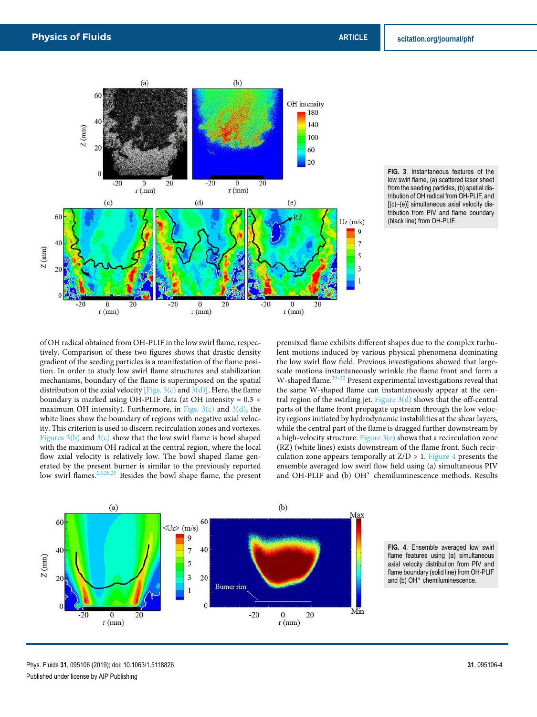



of OH radical obtained from OH-PLIF in the low swirl flame, respectively. Comparison of these two figures shows that drastic density gradient of the seeding particles is a manifestation of the flame position. In order to study low swirl flame structures and stabilization mechanisms, boundary of the flame is superimposed on the spatial distribution of the axial velocity [Figs.  $3(c)$  and  $3(d)$ ]. Here, the flame boundary is marked using OH-PLIF data (at OH intensity =  $0.3 \times$ maximum OH intensity). Furthermore, in Figs.  $3(c)$  and  $3(d)$ , the white lines show the boundary of regions with negative axial velocity. This criterion is used to discern recirculation zones and vortexes. Figures  $3(b)$  and  $3(c)$  show that the low swirl flame is bowl shaped with the maximum OH radical at the central region, where the local flow axial velocity is relatively low. The bowl shaped flame generated by the present burner is similar to the previously reported low swirl flames.<sup>2,3,28,29</sup> Besides the bowl shape flame, the present premixed flame exhibits different shapes due to the complex turbulent motions induced by various physical phenomena dominating the low swirl flow field. Previous investigations showed that largescale motions instantaneously wrinkle the flame front and form a W-shaped flame.<sup>30–32</sup> Present experimental investigations reveal that the same W-shaped flame can instantaneously appear at the central region of the swirling jet. Figure  $3(d)$  shows that the off-central parts of the flame front propagate upstream through the low velocity regions initiated by hydrodynamic instabilities at the shear layers, while the central part of the flame is dragged further downstream by a high-velocity structure. Figure  $3(e)$  shows that a recirculation zone (RZ) (white lines) exists downstream of the flame front. Such recirculation zone appears temporally at  $Z/D > 1$ . Figure 4 presents the ensemble averaged low swirl flow field using (a) simultaneous PIV and OH-PLIF and (b) OH<sup>∗</sup> chemiluminescence methods. Results



**FIG. 4**. Ensemble averaged low swirl flame features using (a) simultaneous axial velocity distribution from PIV and flame boundary (solid line) from OH-PLIF and (b) OH<sup>∗</sup> chemiluminescence.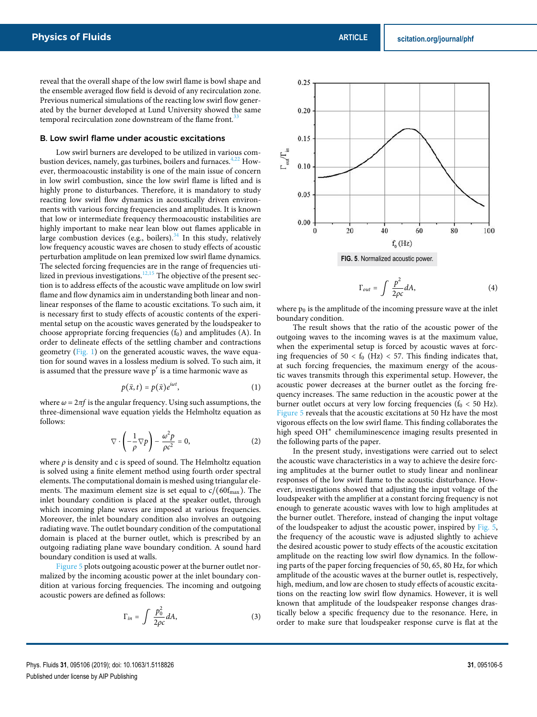reveal that the overall shape of the low swirl flame is bowl shape and the ensemble averaged flow field is devoid of any recirculation zone. Previous numerical simulations of the reacting low swirl flow generated by the burner developed at Lund University showed the same temporal recirculation zone downstream of the flame front.<sup>3</sup>

# B. Low swirl flame under acoustic excitations

Low swirl burners are developed to be utilized in various combustion devices, namely, gas turbines, boilers and furnaces.<sup>4,22</sup> However, thermoacoustic instability is one of the main issue of concern in low swirl combustion, since the low swirl flame is lifted and is highly prone to disturbances. Therefore, it is mandatory to study reacting low swirl flow dynamics in acoustically driven environments with various forcing frequencies and amplitudes. It is known that low or intermediate frequency thermoacoustic instabilities are highly important to make near lean blow out flames applicable in large combustion devices (e.g., boilers). $34$  In this study, relatively low frequency acoustic waves are chosen to study effects of acoustic perturbation amplitude on lean premixed low swirl flame dynamics. The selected forcing frequencies are in the range of frequencies utilized in previous investigations.<sup>12,15</sup> The objective of the present section is to address effects of the acoustic wave amplitude on low swirl flame and flow dynamics aim in understanding both linear and nonlinear responses of the flame to acoustic excitations. To such aim, it is necessary first to study effects of acoustic contents of the experimental setup on the acoustic waves generated by the loudspeaker to choose appropriate forcing frequencies  $(f_0)$  and amplitudes (A). In order to delineate effects of the settling chamber and contractions geometry (Fig. 1) on the generated acoustic waves, the wave equation for sound waves in a lossless medium is solved. To such aim, it is assumed that the pressure wave  $p'$  is a time harmonic wave as

$$
p(\vec{x},t) = p(\vec{x})e^{i\omega t},
$$
 (1)

where  $\omega = 2\pi f$  is the angular frequency. Using such assumptions, the three-dimensional wave equation yields the Helmholtz equation as follows:

$$
\nabla \cdot \left( -\frac{1}{\rho} \nabla p \right) - \frac{\omega^2 p}{\rho c^2} = 0, \tag{2}
$$

where  $\rho$  is density and c is speed of sound. The Helmholtz equation is solved using a finite element method using fourth order spectral elements. The computational domain is meshed using triangular elements. The maximum element size is set equal to  $c/(60f_{\text{max}})$ . The inlet boundary condition is placed at the speaker outlet, through which incoming plane waves are imposed at various frequencies. Moreover, the inlet boundary condition also involves an outgoing radiating wave. The outlet boundary condition of the computational domain is placed at the burner outlet, which is prescribed by an outgoing radiating plane wave boundary condition. A sound hard boundary condition is used at walls.

Figure 5 plots outgoing acoustic power at the burner outlet normalized by the incoming acoustic power at the inlet boundary condition at various forcing frequencies. The incoming and outgoing acoustic powers are defined as follows:

$$
\Gamma_{in} = \int \frac{p_0^2}{2\rho c} dA, \qquad (3)
$$



$$
\Gamma_{out} = \int \frac{p^2}{2\rho c} dA, \tag{4}
$$

where  $p_0$  is the amplitude of the incoming pressure wave at the inlet boundary condition.

The result shows that the ratio of the acoustic power of the outgoing waves to the incoming waves is at the maximum value, when the experimental setup is forced by acoustic waves at forcing frequencies of  $50 < f_0$  (Hz)  $< 57$ . This finding indicates that, at such forcing frequencies, the maximum energy of the acoustic waves transmits through this experimental setup. However, the acoustic power decreases at the burner outlet as the forcing frequency increases. The same reduction in the acoustic power at the burner outlet occurs at very low forcing frequencies ( $f_0 < 50$  Hz). Figure 5 reveals that the acoustic excitations at 50 Hz have the most vigorous effects on the low swirl flame. This finding collaborates the high speed OH<sup>∗</sup> chemiluminescence imaging results presented in the following parts of the paper.

In the present study, investigations were carried out to select the acoustic wave characteristics in a way to achieve the desire forcing amplitudes at the burner outlet to study linear and nonlinear responses of the low swirl flame to the acoustic disturbance. However, investigations showed that adjusting the input voltage of the loudspeaker with the amplifier at a constant forcing frequency is not enough to generate acoustic waves with low to high amplitudes at the burner outlet. Therefore, instead of changing the input voltage of the loudspeaker to adjust the acoustic power, inspired by Fig. 5, the frequency of the acoustic wave is adjusted slightly to achieve the desired acoustic power to study effects of the acoustic excitation amplitude on the reacting low swirl flow dynamics. In the following parts of the paper forcing frequencies of 50, 65, 80 Hz, for which amplitude of the acoustic waves at the burner outlet is, respectively, high, medium, and low are chosen to study effects of acoustic excitations on the reacting low swirl flow dynamics. However, it is well known that amplitude of the loudspeaker response changes drastically below a specific frequency due to the resonance. Here, in order to make sure that loudspeaker response curve is flat at the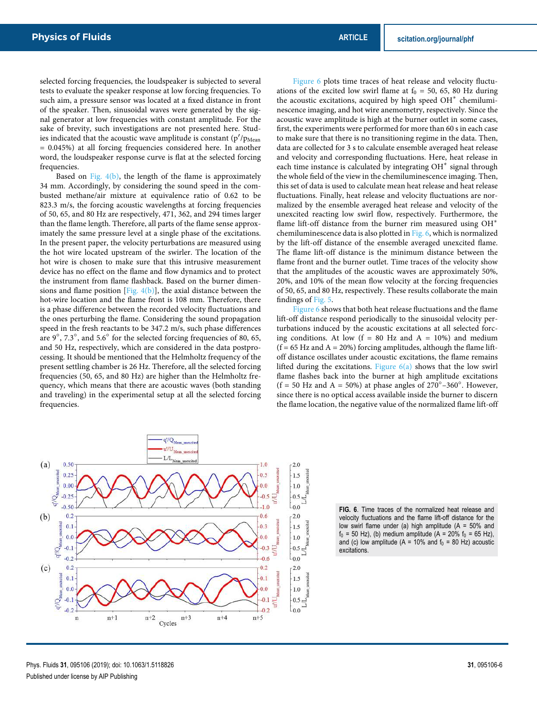selected forcing frequencies, the loudspeaker is subjected to several tests to evaluate the speaker response at low forcing frequencies. To such aim, a pressure sensor was located at a fixed distance in front of the speaker. Then, sinusoidal waves were generated by the signal generator at low frequencies with constant amplitude. For the sake of brevity, such investigations are not presented here. Studies indicated that the acoustic wave amplitude is constant  $(p'/p_{\text{Mean}})$ = 0.045%) at all forcing frequencies considered here. In another word, the loudspeaker response curve is flat at the selected forcing frequencies.

Based on Fig.  $4(b)$ , the length of the flame is approximately 34 mm. Accordingly, by considering the sound speed in the combusted methane/air mixture at equivalence ratio of 0.62 to be 823.3 m/s, the forcing acoustic wavelengths at forcing frequencies of 50, 65, and 80 Hz are respectively, 471, 362, and 294 times larger than the flame length. Therefore, all parts of the flame sense approximately the same pressure level at a single phase of the excitations. In the present paper, the velocity perturbations are measured using the hot wire located upstream of the swirler. The location of the hot wire is chosen to make sure that this intrusive measurement device has no effect on the flame and flow dynamics and to protect the instrument from flame flashback. Based on the burner dimensions and flame position [Fig.  $4(b)$ ], the axial distance between the hot-wire location and the flame front is 108 mm. Therefore, there is a phase difference between the recorded velocity fluctuations and the ones perturbing the flame. Considering the sound propagation speed in the fresh reactants to be 347.2 m/s, such phase differences are 9°, 7.3°, and 5.6° for the selected forcing frequencies of 80, 65, and 50 Hz, respectively, which are considered in the data postprocessing. It should be mentioned that the Helmholtz frequency of the present settling chamber is 26 Hz. Therefore, all the selected forcing frequencies (50, 65, and 80 Hz) are higher than the Helmholtz frequency, which means that there are acoustic waves (both standing and traveling) in the experimental setup at all the selected forcing frequencies.

Figure 6 plots time traces of heat release and velocity fluctuations of the excited low swirl flame at  $f_0 = 50$ , 65, 80 Hz during the acoustic excitations, acquired by high speed OH<sup>∗</sup> chemiluminescence imaging, and hot wire anemometry, respectively. Since the acoustic wave amplitude is high at the burner outlet in some cases, first, the experiments were performed for more than 60 s in each case to make sure that there is no transitioning regime in the data. Then, data are collected for 3 s to calculate ensemble averaged heat release and velocity and corresponding fluctuations. Here, heat release in each time instance is calculated by integrating OH<sup>\*</sup> signal through the whole field of the view in the chemiluminescence imaging. Then, this set of data is used to calculate mean heat release and heat release fluctuations. Finally, heat release and velocity fluctuations are normalized by the ensemble averaged heat release and velocity of the unexcited reacting low swirl flow, respectively. Furthermore, the flame lift-off distance from the burner rim measured using OH<sup>∗</sup> chemiluminescence data is also plotted in Fig. 6, which is normalized by the lift-off distance of the ensemble averaged unexcited flame. The flame lift-off distance is the minimum distance between the flame front and the burner outlet. Time traces of the velocity show that the amplitudes of the acoustic waves are approximately 50%, 20%, and 10% of the mean flow velocity at the forcing frequencies of 50, 65, and 80 Hz, respectively. These results collaborate the main findings of Fig. 5.

Figure 6 shows that both heat release fluctuations and the flame lift-off distance respond periodically to the sinusoidal velocity perturbations induced by the acoustic excitations at all selected forcing conditions. At low ( $f = 80$  Hz and  $A = 10\%$ ) and medium  $(f = 65$  Hz and A = 20%) forcing amplitudes, although the flame liftoff distance oscillates under acoustic excitations, the flame remains lifted during the excitations. Figure 6(a) shows that the low swirl flame flashes back into the burner at high amplitude excitations  $(f = 50$  Hz and A = 50%) at phase angles of  $270^{\circ} - 360^{\circ}$ . However, since there is no optical access available inside the burner to discern the flame location, the negative value of the normalized flame lift-off



**FIG. 6**. Time traces of the normalized heat release and velocity fluctuations and the flame lift-off distance for the low swirl flame under (a) high amplitude  $(A = 50\%$  and  $f_0 = 50$  Hz), (b) medium amplitude (A = 20%  $f_0 = 65$  Hz), and (c) low amplitude (A = 10% and  $f_0$  = 80 Hz) acoustic excitations.

Phys. Fluids **31**, 095106 (2019); doi: 10.1063/1.5118826 **31**, 095106-6 Published under license by AIP Publishing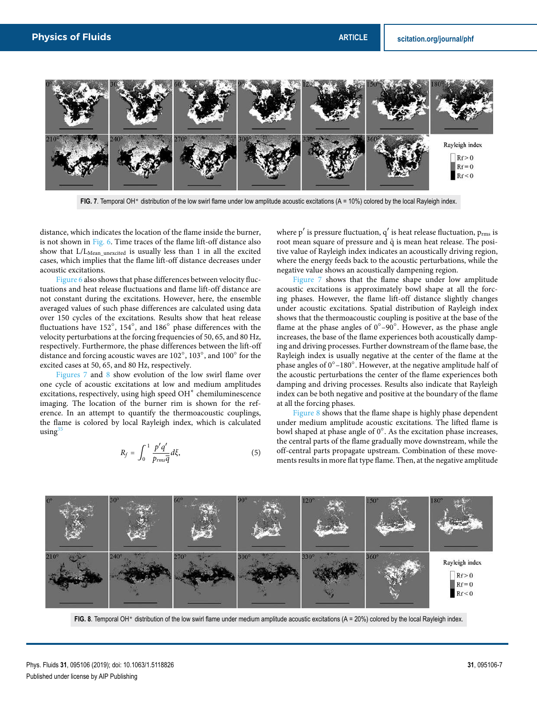

**FIG. 7**. Temporal OH<sup>\*</sup> distribution of the low swirl flame under low amplitude acoustic excitations (A = 10%) colored by the local Rayleigh index.

distance, which indicates the location of the flame inside the burner, is not shown in Fig. 6. Time traces of the flame lift-off distance also show that L/L<sub>Mean\_unexcited</sub> is usually less than 1 in all the excited cases, which implies that the flame lift-off distance decreases under acoustic excitations.

Figure 6 also shows that phase differences between velocity fluctuations and heat release fluctuations and flame lift-off distance are not constant during the excitations. However, here, the ensemble averaged values of such phase differences are calculated using data over 150 cycles of the excitations. Results show that heat release fluctuations have 152°, 154°, and 186° phase differences with the velocity perturbations at the forcing frequencies of 50, 65, and 80 Hz, respectively. Furthermore, the phase differences between the lift-off distance and forcing acoustic waves are 102°, 103°, and 100° for the excited cases at 50, 65, and 80 Hz, respectively.

Figures 7 and 8 show evolution of the low swirl flame over one cycle of acoustic excitations at low and medium amplitudes excitations, respectively, using high speed OH<sup>\*</sup> chemiluminescence imaging. The location of the burner rim is shown for the reference. In an attempt to quantify the thermoacoustic couplings, the flame is colored by local Rayleigh index, which is calculated using $\frac{3}{5}$ 

$$
R_f = \int_0^1 \frac{p'q'}{p_{rms}\overline{q}} d\xi, \qquad (5)
$$

where  $p'$  is pressure fluctuation,  $q'$  is heat release fluctuation,  $p_{\rm rms}$  is root mean square of pressure and  $\bar{q}$  is mean heat release. The positive value of Rayleigh index indicates an acoustically driving region, where the energy feeds back to the acoustic perturbations, while the negative value shows an acoustically dampening region.

Figure 7 shows that the flame shape under low amplitude acoustic excitations is approximately bowl shape at all the forcing phases. However, the flame lift-off distance slightly changes under acoustic excitations. Spatial distribution of Rayleigh index shows that the thermoacoustic coupling is positive at the base of the flame at the phase angles of  $0^{\circ}-90^{\circ}$ . However, as the phase angle increases, the base of the flame experiences both acoustically damping and driving processes. Further downstream of the flame base, the Rayleigh index is usually negative at the center of the flame at the phase angles of  $0^{\circ}$  – 180 $^{\circ}$ . However, at the negative amplitude half of the acoustic perturbations the center of the flame experiences both damping and driving processes. Results also indicate that Rayleigh index can be both negative and positive at the boundary of the flame at all the forcing phases.

Figure 8 shows that the flame shape is highly phase dependent under medium amplitude acoustic excitations. The lifted flame is bowl shaped at phase angle of 0°. As the excitation phase increases, the central parts of the flame gradually move downstream, while the off-central parts propagate upstream. Combination of these movements results in more flat type flame. Then, at the negative amplitude



FIG. 8. Temporal OH<sup>∗</sup> distribution of the low swirl flame under medium amplitude acoustic excitations (A = 20%) colored by the local Rayleigh index.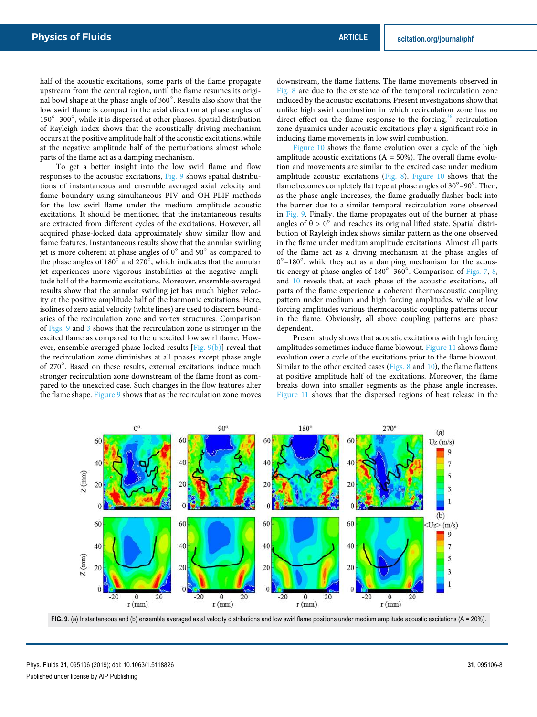half of the acoustic excitations, some parts of the flame propagate upstream from the central region, until the flame resumes its original bowl shape at the phase angle of 360○ . Results also show that the low swirl flame is compact in the axial direction at phase angles of 150°-300°, while it is dispersed at other phases. Spatial distribution of Rayleigh index shows that the acoustically driving mechanism occurs at the positive amplitude half of the acoustic excitations, while at the negative amplitude half of the perturbations almost whole parts of the flame act as a damping mechanism.

To get a better insight into the low swirl flame and flow responses to the acoustic excitations, Fig. 9 shows spatial distributions of instantaneous and ensemble averaged axial velocity and flame boundary using simultaneous PIV and OH-PLIF methods for the low swirl flame under the medium amplitude acoustic excitations. It should be mentioned that the instantaneous results are extracted from different cycles of the excitations. However, all acquired phase-locked data approximately show similar flow and flame features. Instantaneous results show that the annular swirling jet is more coherent at phase angles of 0° and 90° as compared to the phase angles of 180<sup>°</sup> and 270<sup>°</sup>, which indicates that the annular jet experiences more vigorous instabilities at the negative amplitude half of the harmonic excitations. Moreover, ensemble-averaged results show that the annular swirling jet has much higher velocity at the positive amplitude half of the harmonic excitations. Here, isolines of zero axial velocity (white lines) are used to discern boundaries of the recirculation zone and vortex structures. Comparison of Figs. 9 and 3 shows that the recirculation zone is stronger in the excited flame as compared to the unexcited low swirl flame. However, ensemble averaged phase-locked results  $[Fig. 9(b)]$  reveal that the recirculation zone diminishes at all phases except phase angle of 270°. Based on these results, external excitations induce much stronger recirculation zone downstream of the flame front as compared to the unexcited case. Such changes in the flow features alter the flame shape. Figure 9 shows that as the recirculation zone moves downstream, the flame flattens. The flame movements observed in Fig. 8 are due to the existence of the temporal recirculation zone induced by the acoustic excitations. Present investigations show that unlike high swirl combustion in which recirculation zone has no direct effect on the flame response to the forcing,<sup>36</sup> recirculation zone dynamics under acoustic excitations play a significant role in inducing flame movements in low swirl combustion.

Figure 10 shows the flame evolution over a cycle of the high amplitude acoustic excitations ( $A = 50\%$ ). The overall flame evolution and movements are similar to the excited case under medium amplitude acoustic excitations (Fig. 8). Figure 10 shows that the flame becomes completely flat type at phase angles of 30°–90°. Then, as the phase angle increases, the flame gradually flashes back into the burner due to a similar temporal recirculation zone observed in Fig. 9. Finally, the flame propagates out of the burner at phase angles of  $\theta > 0^{\circ}$  and reaches its original lifted state. Spatial distribution of Rayleigh index shows similar pattern as the one observed in the flame under medium amplitude excitations. Almost all parts of the flame act as a driving mechanism at the phase angles of  $0^{\circ}$ -180 $^{\circ}$ , while they act as a damping mechanism for the acoustic energy at phase angles of  $180^\circ - 360^\circ$ . Comparison of Figs. 7, 8, and 10 reveals that, at each phase of the acoustic excitations, all parts of the flame experience a coherent thermoacoustic coupling pattern under medium and high forcing amplitudes, while at low forcing amplitudes various thermoacoustic coupling patterns occur in the flame. Obviously, all above coupling patterns are phase dependent.

Present study shows that acoustic excitations with high forcing amplitudes sometimes induce flame blowout. Figure 11 shows flame evolution over a cycle of the excitations prior to the flame blowout. Similar to the other excited cases (Figs.  $8$  and  $10$ ), the flame flattens at positive amplitude half of the excitations. Moreover, the flame breaks down into smaller segments as the phase angle increases. Figure 11 shows that the dispersed regions of heat release in the



**FIG. 9**. (a) Instantaneous and (b) ensemble averaged axial velocity distributions and low swirl flame positions under medium amplitude acoustic excitations (A = 20%).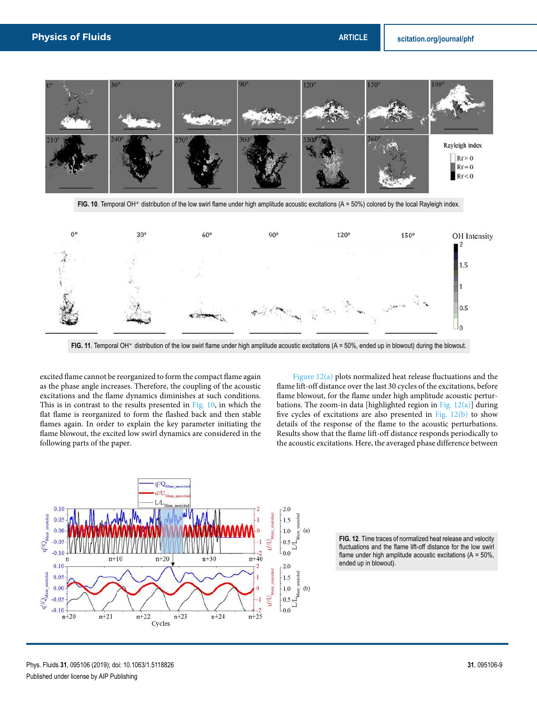



**FIG. 11**. Temporal OH<sup>∗</sup> distribution of the low swirl flame under high amplitude acoustic excitations (A = 50%, ended up in blowout) during the blowout.

excited flame cannot be reorganized to form the compact flame again as the phase angle increases. Therefore, the coupling of the acoustic excitations and the flame dynamics diminishes at such conditions. This is in contrast to the results presented in Fig. 10, in which the flat flame is reorganized to form the flashed back and then stable flames again. In order to explain the key parameter initiating the flame blowout, the excited low swirl dynamics are considered in the following parts of the paper.

Figure  $12(a)$  plots normalized heat release fluctuations and the flame lift-off distance over the last 30 cycles of the excitations, before flame blowout, for the flame under high amplitude acoustic perturbations. The zoom-in data [highlighted region in Fig.  $12(a)$ ] during five cycles of excitations are also presented in Fig. 12(b) to show details of the response of the flame to the acoustic perturbations. Results show that the flame lift-off distance responds periodically to the acoustic excitations. Here, the averaged phase difference between



**FIG. 12**. Time traces of normalized heat release and velocity fluctuations and the flame lift-off distance for the low swirl flame under high amplitude acoustic excitations ( $A = 50\%$ , ended up in blowout).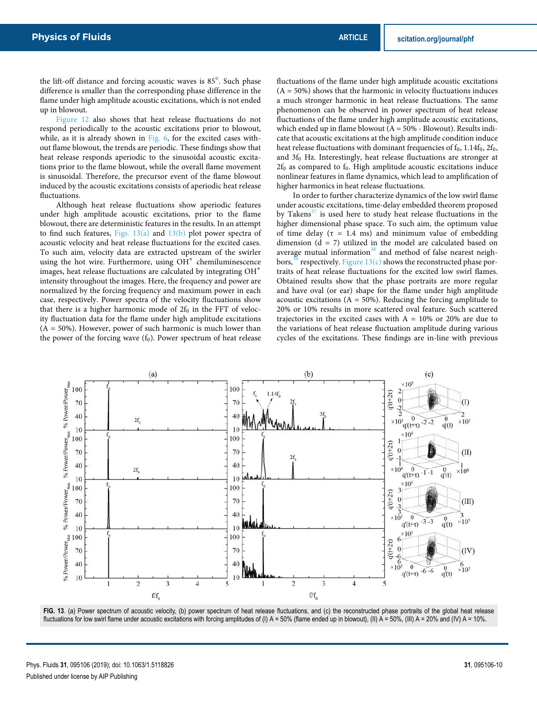the lift-off distance and forcing acoustic waves is 85○ . Such phase difference is smaller than the corresponding phase difference in the flame under high amplitude acoustic excitations, which is not ended up in blowout.

Figure 12 also shows that heat release fluctuations do not respond periodically to the acoustic excitations prior to blowout, while, as it is already shown in Fig. 6, for the excited cases without flame blowout, the trends are periodic. These findings show that heat release responds aperiodic to the sinusoidal acoustic excitations prior to the flame blowout, while the overall flame movement is sinusoidal. Therefore, the precursor event of the flame blowout induced by the acoustic excitations consists of aperiodic heat release fluctuations.

Although heat release fluctuations show aperiodic features under high amplitude acoustic excitations, prior to the flame blowout, there are deterministic features in the results. In an attempt to find such features, Figs.  $13(a)$  and  $13(b)$  plot power spectra of acoustic velocity and heat release fluctuations for the excited cases. To such aim, velocity data are extracted upstream of the swirler using the hot wire. Furthermore, using OH<sup>\*</sup> chemiluminescence images, heat release fluctuations are calculated by integrating OH<sup>∗</sup> intensity throughout the images. Here, the frequency and power are normalized by the forcing frequency and maximum power in each case, respectively. Power spectra of the velocity fluctuations show that there is a higher harmonic mode of  $2f_0$  in the FFT of velocity fluctuation data for the flame under high amplitude excitations  $(A = 50\%)$ . However, power of such harmonic is much lower than the power of the forcing wave  $(f_0)$ . Power spectrum of heat release

fluctuations of the flame under high amplitude acoustic excitations  $(A = 50\%)$  shows that the harmonic in velocity fluctuations induces a much stronger harmonic in heat release fluctuations. The same phenomenon can be observed in power spectrum of heat release fluctuations of the flame under high amplitude acoustic excitations, which ended up in flame blowout ( $A = 50\%$  - Blowout). Results indicate that acoustic excitations at the high amplitude condition induce heat release fluctuations with dominant frequencies of  $f_0$ , 1.14 $f_0$ , 2 $f_0$ , and  $3f_0$  Hz. Interestingly, heat release fluctuations are stronger at  $2f_0$  as compared to  $f_0$ . High amplitude acoustic excitations induce nonlinear features in flame dynamics, which lead to amplification of higher harmonics in heat release fluctuations.

In order to further characterize dynamics of the low swirl flame under acoustic excitations, time-delay embedded theorem proposed by Takens<sup>37</sup> is used here to study heat release fluctuations in the higher dimensional phase space. To such aim, the optimum value of time delay ( $\tau = 1.4$  ms) and minimum value of embedding dimension  $(d = 7)$  utilized in the model are calculated based on average mutual information $38$  and method of false nearest neighbors,<sup>39</sup> respectively. Figure 13(c) shows the reconstructed phase portraits of heat release fluctuations for the excited low swirl flames. Obtained results show that the phase portraits are more regular and have oval (or ear) shape for the flame under high amplitude acoustic excitations ( $A = 50\%$ ). Reducing the forcing amplitude to 20% or 10% results in more scattered oval feature. Such scattered trajectories in the excited cases with  $A = 10\%$  or 20% are due to the variations of heat release fluctuation amplitude during various cycles of the excitations. These findings are in-line with previous



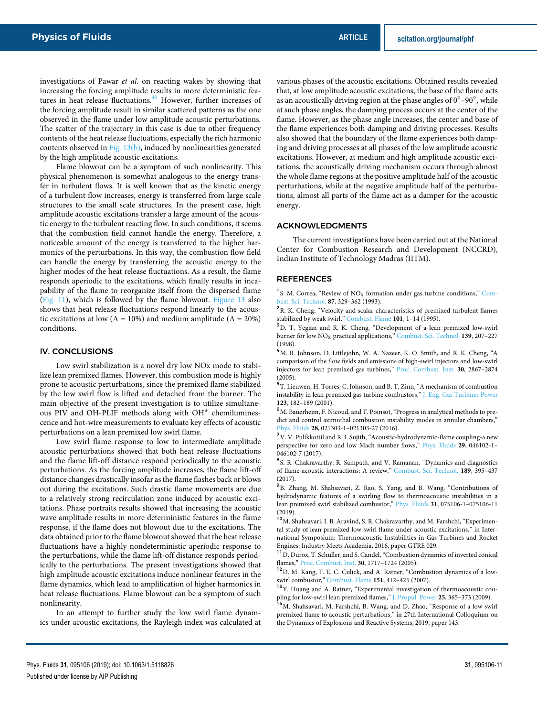investigations of Pawar *et al.* on reacting wakes by showing that increasing the forcing amplitude results in more deterministic features in heat release fluctuations.<sup>40</sup> However, further increases of the forcing amplitude result in similar scattered patterns as the one observed in the flame under low amplitude acoustic perturbations. The scatter of the trajectory in this case is due to other frequency contents of the heat release fluctuations, especially the rich harmonic contents observed in Fig. 13(b), induced by nonlinearities generated by the high amplitude acoustic excitations.

Flame blowout can be a symptom of such nonlinearity. This physical phenomenon is somewhat analogous to the energy transfer in turbulent flows. It is well known that as the kinetic energy of a turbulent flow increases, energy is transferred from large scale structures to the small scale structures. In the present case, high amplitude acoustic excitations transfer a large amount of the acoustic energy to the turbulent reacting flow. In such conditions, it seems that the combustion field cannot handle the energy. Therefore, a noticeable amount of the energy is transferred to the higher harmonics of the perturbations. In this way, the combustion flow field can handle the energy by transferring the acoustic energy to the higher modes of the heat release fluctuations. As a result, the flame responds aperiodic to the excitations, which finally results in incapability of the flame to reorganize itself from the dispersed flame (Fig. 11), which is followed by the flame blowout. Figure 13 also shows that heat release fluctuations respond linearly to the acoustic excitations at low  $(A = 10\%)$  and medium amplitude  $(A = 20\%)$ conditions.

#### IV. CONCLUSIONS

Low swirl stabilization is a novel dry low NOx mode to stabilize lean premixed flames. However, this combustion mode is highly prone to acoustic perturbations, since the premixed flame stabilized by the low swirl flow is lifted and detached from the burner. The main objective of the present investigation is to utilize simultaneous PIV and OH-PLIF methods along with OH<sup>\*</sup> chemiluminescence and hot-wire measurements to evaluate key effects of acoustic perturbations on a lean premixed low swirl flame.

Low swirl flame response to low to intermediate amplitude acoustic perturbations showed that both heat release fluctuations and the flame lift-off distance respond periodically to the acoustic perturbations. As the forcing amplitude increases, the flame lift-off distance changes drastically insofar as the flame flashes back or blows out during the excitations. Such drastic flame movements are due to a relatively strong recirculation zone induced by acoustic excitations. Phase portraits results showed that increasing the acoustic wave amplitude results in more deterministic features in the flame response, if the flame does not blowout due to the excitations. The data obtained prior to the flame blowout showed that the heat release fluctuations have a highly nondeterministic aperiodic response to the perturbations, while the flame lift-off distance responds periodically to the perturbations. The present investigations showed that high amplitude acoustic excitations induce nonlinear features in the flame dynamics, which lead to amplification of higher harmonics in heat release fluctuations. Flame blowout can be a symptom of such nonlinearity.

In an attempt to further study the low swirl flame dynamics under acoustic excitations, the Rayleigh index was calculated at

various phases of the acoustic excitations. Obtained results revealed that, at low amplitude acoustic excitations, the base of the flame acts as an acoustically driving region at the phase angles of  $0^{\circ}$ -90°, while at such phase angles, the damping process occurs at the center of the flame. However, as the phase angle increases, the center and base of the flame experiences both damping and driving processes. Results also showed that the boundary of the flame experiences both damping and driving processes at all phases of the low amplitude acoustic excitations. However, at medium and high amplitude acoustic excitations, the acoustically driving mechanism occurs through almost the whole flame regions at the positive amplitude half of the acoustic perturbations, while at the negative amplitude half of the perturbations, almost all parts of the flame act as a damper for the acoustic energy.

#### ACKNOWLEDGMENTS

The current investigations have been carried out at the National Center for Combustion Research and Development (NCCRD), Indian Institute of Technology Madras (IITM).

#### REFERENCES

<sup>1</sup> S. M. Correa, "Review of  $NO<sub>X</sub>$  formation under gas turbine conditions," Combust. Sci. Technol. **87**, 329–362 (1993).

 $2R$ . K. Cheng, "Velocity and scalar characteristics of premixed turbulent flames stabilized by weak swirl," Combust. Flame **101**, 1–14 (1995).

<sup>3</sup>D. T. Yegian and R. K. Cheng, "Development of a lean premixed low-swirl burner for low NO<sup>X</sup> practical applications," Combust. Sci. Technol. **139**, 207–227 (1998).

<sup>4</sup>M. R. Johnson, D. Littlejohn, W. A. Nazeer, K. O. Smith, and R. K. Cheng, "A comparison of the flow fields and emissions of high-swirl injectors and low-swirl injectors for lean premixed gas turbines," Proc. Combust. Inst. **30**, 2867–2874 (2005).

<sup>5</sup>T. Lieuwen, H. Torres, C. Johnson, and B. T. Zinn, "A mechanism of combustion instability in lean premixed gas turbine combustors," J. Eng. Gas Turbines Power **123**, 182–189 (2001).

 $\rm ^6M.$  Bauerheim, F. Nicoud, and T. Poinsot, "Progress in analytical methods to predict and control azimuthal combustion instability modes in annular chambers," Phys. Fluids **28**, 021303-1–021303-27 (2016).

<sup>7</sup>V. V. Pulikkottil and R. I. Sujith, "Acoustic-hydrodynamic-flame coupling-a new perspective for zero and low Mach number flows," Phys. Fluids **29**, 046102-1– 046102-7 (2017).

<sup>8</sup>S. R. Chakravarthy, R. Sampath, and V. Ramanan, "Dynamics and diagnostics of flame-acoustic interactions: A review," Combust. Sci. Technol. **189**, 395–437 (2017).

9 B. Zhang, M. Shahsavari, Z. Rao, S. Yang, and B. Wang, "Contributions of hydrodynamic features of a swirling flow to thermoacoustic instabilities in a lean premixed swirl stabilized combustor," Phys. Fluids **31**, 075106-1–075106-11 (2019).

<sup>10</sup>M. Shahsavari, I. B. Aravind, S. R. Chakravarthy, and M. Farshchi, "Experimental study of lean premixed low swirl flame under acoustic excitations," in International Symposium: Thermoacoustic Instabilities in Gas Turbines and Rocket Engines: Industry Meets Academia, 2016, paper GTRE 029.

<sup>11</sup>D. Durox, T. Schuller, and S. Candel, "Combustion dynamics of inverted conical flames," Proc. Combust. Inst. **30**, 1717–1724 (2005).

<sup>12</sup>D. M. Kang, F. E. C. Culick, and A. Ratner, "Combustion dynamics of a lowswirl combustor," Combust. Flame **151**, 412–425 (2007).

<sup>13</sup>Y. Huang and A. Ratner, "Experimental investigation of thermoacoustic coupling for low-swirl lean premixed flames," J. Propul. Power **25**, 365–373 (2009).

<sup>14</sup>M. Shahsavari, M. Farshchi, B. Wang, and D. Zhao, "Response of a low swirl premixed flame to acoustic perturbations," in 27th International Colloquium on the Dynamics of Explosions and Reactive Systems, 2019, paper 143.